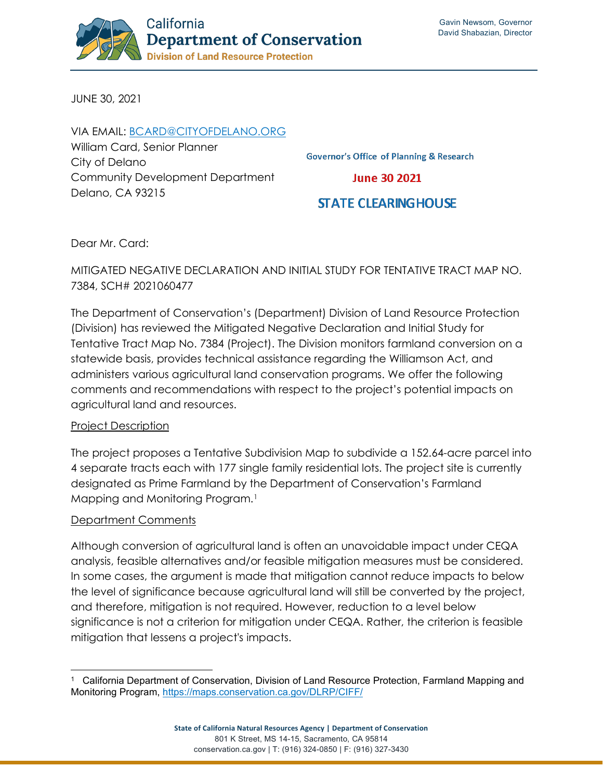

JUNE 30, 2021

VIA EMAIL: [BCARD@CITYOFDELANO.ORG](mailto:bcard@cityofdelano.org) William Card, Senior Planner City of Delano Community Development Department Delano, CA 93215

**Governor's Office of Planning & Research** 

**June 30 2021** 

# **STATE CLEARING HOUSE**

Dear Mr. Card:

### MITIGATED NEGATIVE DECLARATION AND INITIAL STUDY FOR TENTATIVE TRACT MAP NO. 7384, SCH# 2021060477

The Department of Conservation's (Department) Division of Land Resource Protection (Division) has reviewed the Mitigated Negative Declaration and Initial Study for Tentative Tract Map No. 7384 (Project). The Division monitors farmland conversion on a statewide basis, provides technical assistance regarding the Williamson Act, and administers various agricultural land conservation programs. We offer the following comments and recommendations with respect to the project's potential impacts on agricultural land and resources.

### Project Description

The project proposes a Tentative Subdivision Map to subdivide a 152.64-acre parcel into 4 separate tracts each with 177 single family residential lots. The project site is currently designated as Prime Farmland by the Department of Conservation's Farmland Mapping and Monitoring Program.<sup>[1](#page-0-0)</sup>

#### Department Comments

Although conversion of agricultural land is often an unavoidable impact under CEQA analysis, feasible alternatives and/or feasible mitigation measures must be considered. In some cases, the argument is made that mitigation cannot reduce impacts to below the level of significance because agricultural land will still be converted by the project, and therefore, mitigation is not required. However, reduction to a level below significance is not a criterion for mitigation under CEQA. Rather, the criterion is feasible mitigation that lessens a project's impacts.

<span id="page-0-0"></span><sup>1</sup> California Department of Conservation, Division of Land Resource Protection, Farmland Mapping and Monitoring Program,<https://maps.conservation.ca.gov/DLRP/CIFF/>